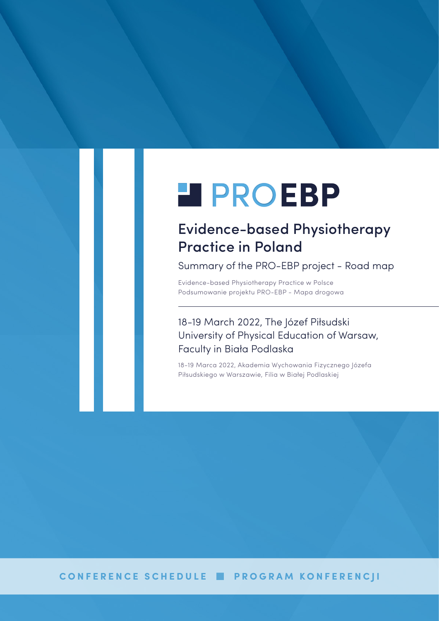# **H** PROEBP

## Evidence-based Physiotherapy Practice in Poland

Summary of the PRO-EBP project - Road map

Evidence-based Physiotherapy Practice w Polsce Podsumowanie projektu PRO-EBP - Mapa drogowa

## 18-19 March 2022, The Józef Piłsudski University of Physical Education of Warsaw, Faculty in Biała Podlaska

18-19 Marca 2022, Akademia Wychowania Fizycznego Józefa Piłsudskiego w Warszawie, Filia w Białej Podlaskiej

## **CONFERENCE SCHEDULE PROGRAM KONFERENCJI**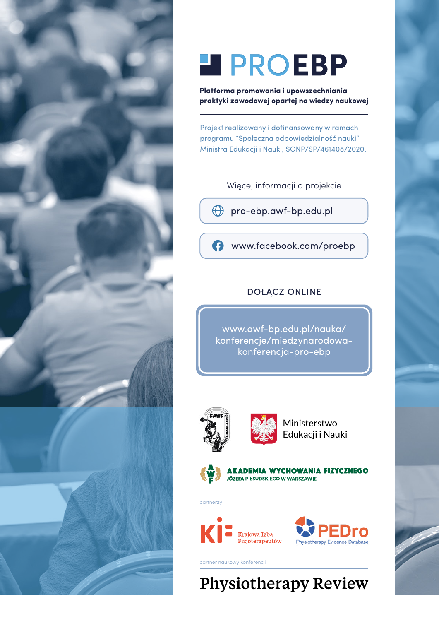

# **H** PROEBP

**Platforma promowania i upowszechniania praktyki zawodowej opartej na wiedzy naukowej**

Projekt realizowany i dofinansowany w ramach programu "Społeczna odpowiedzialność nauki" Ministra Edukacji i Nauki, SONP/SP/461408/2020.

Więcej informacji o projekcie

[pro-ebp.awf-bp.edu.pl](http://pro-ebp.awf-bp.edu.pl)

[www.facebook.com/proebp](http://www.facebook.com/proebp)

## DOŁĄCZ ONLINE

www.awf-bp.edu.pl/nauka/ [konferencje/miedzynarodowa](https://www.awf-bp.edu.pl/nauka/konferencje/miedzynarodowa-konferencja-pro-ebp/)konferencja-pro-ebp





Ministerstwo Edukacji i Nauki



partnerzy



partner naukowy konferencji

## **Physiotherapy Review**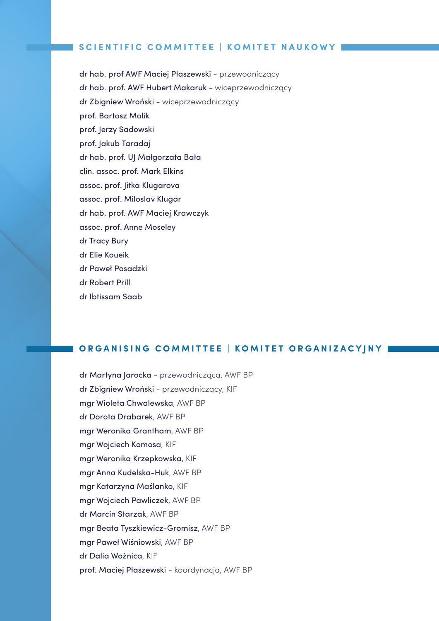## **SCIENTIFIC COMMITTEE | KOMITET NAUKOWY**

dr hab. prof AWF Maciej Płaszewski - przewodniczący dr hab. prof. AWF Hubert Makaruk - wiceprzewodniczący dr Zbigniew Wroński - wiceprzewodniczący prof. Bartosz Molik prof. Jerzy Sadowski prof. Jakub Taradaj dr hab. prof. UJ Małgorzata Bała clin. assoc. prof. Mark Elkins assoc. prof. Jitka Klugarova assoc. prof. Miloslav Klugar dr hab. prof. AWF Maciej Krawczyk assoc. prof. Anne Moseley dr Tracy Bury dr Elie Koueik dr Paweł Posadzki dr Robert Prill dr Ibtissam Saab

## **ORGANISING COMMITTEE | KOMITET ORGANIZACYJNY**

dr Martyna Jarocka - przewodnicząca, AWF BP dr Zbigniew Wroński - przewodniczący, KIF mgr Wioleta Chwalewska, AWF BP dr Dorota Drabarek, AWF BP mgr Weronika Grantham, AWF BP mgr Wojciech Komosa, KIF mgr Weronika Krzepkowska, KIF mgr Anna Kudelska-Huk, AWF BP mgr Katarzyna Maślanko, KIF mgr Wojciech Pawliczek, AWF BP dr Marcin Starzak, AWF BP mgr Beata Tyszkiewicz-Gromisz, AWF BP mgr Paweł Wiśniowski, AWF BP dr Dalia Woźnica, KIF prof. Maciej Płaszewski - koordynacja, AWF BP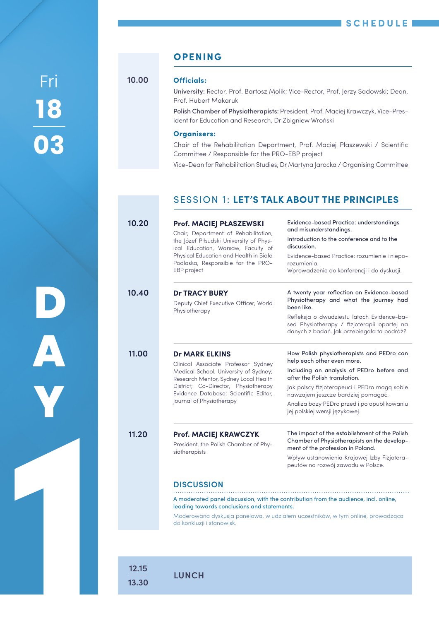**18 03** F**ri 10.00 Officials:**<br>University:

**D**

**A**

**Y**

**1**

## **OPENING**

**10.00**

University: Rector, Prof. Bartosz Molik; Vice-Rector, Prof. Jerzy Sadowski; Dean, Prof. Hubert Makaruk

Polish Chamber of Physiotherapists: President, Prof. Maciej Krawczyk, Vice-President for Education and Research, Dr Zbigniew Wroński

### **Organisers:**

Chair of the Rehabilitation Department, Prof. Maciej Płaszewski / Scientific Committee / Responsible for the PRO-EBP project

Vice-Dean for Rehabilitation Studies, Dr Martyna Jarocka / Organising Committee

## SESSION 1: **LET'S TALK ABOUT THE PRINCIPLES**

| 10.20 | Prof. MACIEJ PŁASZEWSKI                                                                                                                                                                                                                                    | <b>Evidence-based Practice: understandings</b><br>and misunderstandings.                                                                |  |
|-------|------------------------------------------------------------------------------------------------------------------------------------------------------------------------------------------------------------------------------------------------------------|-----------------------------------------------------------------------------------------------------------------------------------------|--|
|       | Chair, Department of Rehabilitation,<br>the Józef Piłsudski University of Phys-<br>ical Education, Warsaw, Faculty of                                                                                                                                      | Introduction to the conference and to the<br>discussion.<br>Evidence-based Practice: rozumienie i niepo-<br>rozumienia.                 |  |
|       | Physical Education and Health in Biała<br>Podlaska, Responsible for the PRO-                                                                                                                                                                               |                                                                                                                                         |  |
|       | EBP project                                                                                                                                                                                                                                                | Wprowadzenie do konferencji i do dyskusji.                                                                                              |  |
| 10.40 | <b>Dr TRACY BURY</b><br>Deputy Chief Executive Officer, World<br>Physiotherapy                                                                                                                                                                             | A twenty year reflection on Evidence-based<br>Physiotherapy and what the journey had<br>been like.                                      |  |
|       |                                                                                                                                                                                                                                                            | Refleksja o dwudziestu latach Evidence-ba-<br>sed Physiotherapy / fizjoterapii opartej na<br>danych z badań. Jak przebiegała ta podróż? |  |
| 11.00 | <b>Dr MARK ELKINS</b><br>Clinical Associate Professor Sydney<br>Medical School, University of Sydney;<br>Research Mentor, Sydney Local Health<br>District; Co-Director, Physiotherapy<br>Evidence Database; Scientific Editor,<br>Journal of Physiotherapy | How Polish physiotherapists and PEDro can<br>help each other even more.                                                                 |  |
|       |                                                                                                                                                                                                                                                            | Including an analysis of PEDro before and<br>after the Polish translation.                                                              |  |
|       |                                                                                                                                                                                                                                                            | lak polscy fizjoterapeuci i PEDro mogg sobie<br>nawzajem jeszcze bardziej pomagać.                                                      |  |
|       |                                                                                                                                                                                                                                                            | Analiza bazy PEDro przed i po opublikowaniu<br>jej polskiej wersji językowej.                                                           |  |
| 11.20 | <b>Prof. MACIEJ KRAWCZYK</b><br>President, the Polish Chamber of Phy-<br>siotherapists                                                                                                                                                                     | The impact of the establishment of the Polish<br>Chamber of Physiotherapists on the develop-<br>ment of the profession in Poland.       |  |
|       |                                                                                                                                                                                                                                                            | Wpływ ustanowienia Krajowej Izby Fizjotera-<br>peutów na rozwój zawodu w Polsce.                                                        |  |
|       | <b>DISCUSSION</b>                                                                                                                                                                                                                                          |                                                                                                                                         |  |
|       | A moderated panel discussion, with the contribution from the audience, incl. online,<br>leading towards conclusions and statements.                                                                                                                        |                                                                                                                                         |  |
|       | do konkluzji i stanowisk.                                                                                                                                                                                                                                  | Moderowana dyskusja panelowa, w udziałem uczestników, w tym online, prowadząca                                                          |  |

## **12.15 13.30**

**LUNCH**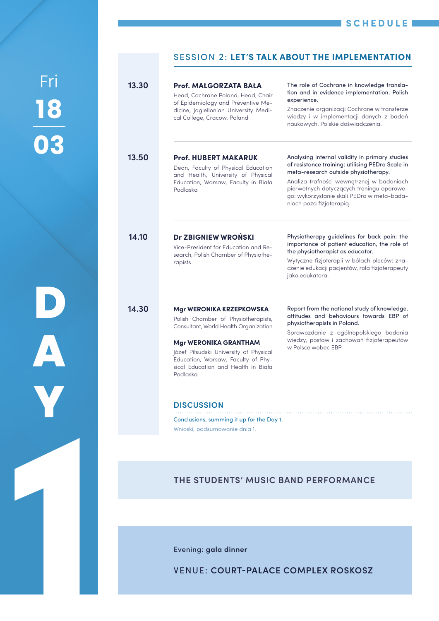**18 03** Fri

**D**

**Y**

**1**

**A**

## SESSION 2: **LET'S TALK ABOUT THE IMPLEMENTATION**

| 13.30 | Prof. MAŁGORZATA BAŁA<br>Head, Cochrane Poland, Head, Chair<br>of Epidemiology and Preventive Me-<br>dicine, Jagiellonian University Medi-<br>cal College, Cracow, Poland                                                                                                                                                                                               | The role of Cochrane in knowledge transla-<br>tion and in evidence implementation. Polish<br>experience.<br>Znaczenie organizacji Cochrane w transferze<br>wiedzy i w implementacji danych z badań<br>naukowych. Polskie doświadczenia.                                                                        |
|-------|-------------------------------------------------------------------------------------------------------------------------------------------------------------------------------------------------------------------------------------------------------------------------------------------------------------------------------------------------------------------------|----------------------------------------------------------------------------------------------------------------------------------------------------------------------------------------------------------------------------------------------------------------------------------------------------------------|
| 13.50 | <b>Prof. HUBERT MAKARUK</b><br>Dean, Faculty of Physical Education<br>and Health, University of Physical<br>Education, Warsaw, Faculty in Biała<br>Podlaska                                                                                                                                                                                                             | Analysing internal validity in primary studies<br>of resistance training: utilising PEDro Scale in<br>meta-research outside physiotherapy.<br>Analiza trafności wewnętrznej w badaniach<br>pierwotnych dotyczących treningu oporowe-<br>go: wykorzystanie skali PEDro w meta-bada-<br>niach poza fizjoterapią. |
| 14.10 | Dr ZBIGNIEW WROŃSKI<br>Vice-President for Education and Re-<br>search, Polish Chamber of Physiothe-<br>rapists                                                                                                                                                                                                                                                          | Physiotherapy guidelines for back pain: the<br>importance of patient education, the role of<br>the physiotherapist as educator.<br>Wytyczne fizjoterapii w bólach pleców: zna-<br>czenie edukacji pacjentów, rola fizjoterapeuty<br>jako edukatora.                                                            |
| 14.30 | Mgr WERONIKA KRZEPKOWSKA<br>Polish Chamber of Physiotherapists,<br>Consultant, World Health Organization<br>Mgr WERONIKA GRANTHAM<br>Józef Piłsudski University of Physical<br>Education, Warsaw, Faculty of Phy-<br>sical Education and Health in Biała<br>Podlaska<br><b>DISCUSSION</b><br>Conclusions, summing it up for the Day 1.<br>Wnioski, podsumowanie dnia 1. | Report from the national study of knowledge,<br>attitudes and behaviours towards EBP of<br>physiotherapists in Poland.<br>Sprawozdanie z ogólnopolskiego badania<br>wiedzy, postaw i zachowań fizjoterapeutów<br>w Polsce wobec EBP.                                                                           |
|       | THE STUDENTS' MUSIC BAND PERFORMANCE                                                                                                                                                                                                                                                                                                                                    |                                                                                                                                                                                                                                                                                                                |

Evening: **gala dinner**

VENUE: **[COURT-PALACE COMPLEX ROSKOSZ](http://roskosz.pl/?lang=en)**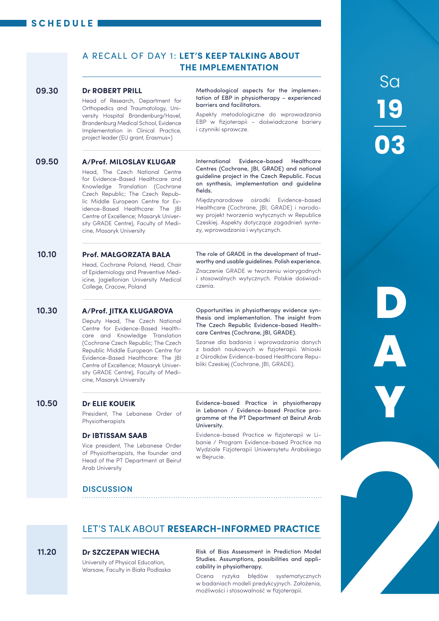## **SCHEDULE**

## A RECALL OF DAY 1: **LET'S KEEP TALKING ABOUT THE IMPLEMENTATION**

#### **Dr ROBERT PRILL 09.30**

Head of Research, Department for Orthopedics and Traumatology, University Hospital Brandenburg/Havel, Brandenburg Medical School, Evidence Implementation in Clinical Practice, project leader (EU grant, Erasmus+)

Methodological aspects for the implementation of EBP in physiotherapy – experienced barriers and facilitators.

Aspekty metodologiczne do wprowadzania EBP w fizjoterapii – doświadczone bariery i czynniki sprawcze.

#### **A/Prof. MILOSLAV KLUGAR 09.50**

Head, The Czech National Centre for Evidence-Based Healthcare and Knowledge Translation (Cochrane Czech Republic; The Czech Republic Middle European Centre for Evidence-Based Healthcare: The JBI Centre of Excellence; Masaryk University GRADE Centre), Faculty of Medicine, Masaryk University

International Evidence-based Healthcare Centres (Cochrane, JBI, GRADE) and national guideline project in the Czech Republic. Focus on synthesis, implementation and guideline fields.

Międzynarodowe ośrodki Evidence-based Healthcare (Cochrane, JBI, GRADE) i narodowy projekt tworzenia wytycznych w Republice Czeskiej. Aspekty dotyczące zagadnień syntezy, wprowadzania i wytycznych.

The role of GRADE in the development of trustworthy and usable guidelines. Polish experience. Znaczenie GRADE w tworzeniu wiarygodnych i stosowalnych wytycznych. Polskie doświad-

#### **Prof. MAŁGORZATA BAŁA 10.10**

Head, Cochrane Poland, Head, Chair of Epidemiology and Preventive Medicine, Jagiellonian University Medical College, Cracow, Poland

#### **A/Prof. JITKA KLUGAROVA 10.30**

Deputy Head, The Czech National Centre for Evidence-Based Healthcare and Knowledge Translation (Cochrane Czech Republic; The Czech Republic Middle European Centre for Evidence-Based Healthcare: The JBI Centre of Excellence; Masaryk University GRADE Centre), Faculty of Medicine, Masaryk University

Opportunities in physiotherapy evidence synthesis and implementation. The insight from The Czech Republic Evidence-based Healthcare Centres (Cochrane, JBI, GRADE).

Szanse dla badania i wprowadzania danych z badań naukowych w fizjoterapii. Wnioski z Ośrodków Evidence-based Healthcare Republiki Czeskiej (Cochrane, JBI, GRADE).

#### **Dr ELIE KOUEIK 10.50**

President, The Lebanese Order of **Physiotherapists** 

### **Dr IBTISSAM SAAB**

Vice president, The Lebanese Order of Physiotherapists, the founder and Head of the PT Department at Beirut Arab University

Evidence-based Practice in physiotherapy in Lebanon / Evidence-based Practice programme at the PT Department at Beirut Arab University.

Evidence-based Practice w fizjoterapii w Libanie / Program Evidence-based Practice na Wydziale Fizjoterapii Uniwersytetu Arabskiego w Beirucie.

## LET'S TALK ABOUT **RESEARCH-INFORMED PRACTICE**

czenia.

#### **Dr SZCZEPAN WIECHA 11.20**

University of Physical Education, Warsaw, Faculty in Biała Podlaska Risk of Bias Assessment in Prediction Model Studies. Assumptions, possibilities and applicability in physiotherapy.

Ocena ryzyka błędów systematycznych w badaniach modeli predykcyjnych. Założenia, możliwości i stosowalność w fizjoterapii.

# **19 03** Sa

**D Y A**

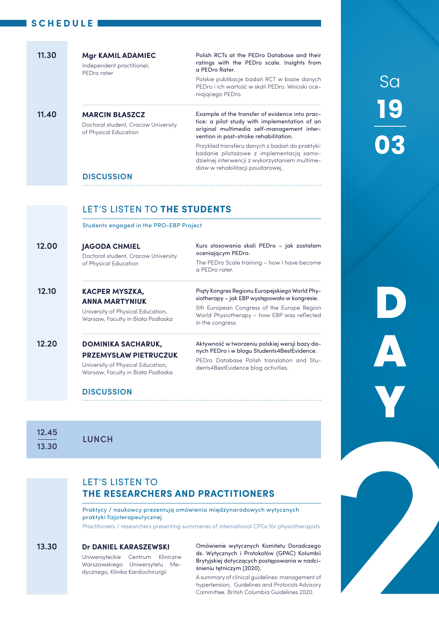## **SCHEDULE**

|       | <b>Mgr KAMIL ADAMIEC</b><br>Independent practitioner,<br>PEDro rater                                   | Polish RCTs at the PEDro Database and their<br>ratings with the PEDro scale. Insights from<br>a PEDro Rater.                                                                                                                                                                          |  |  |
|-------|--------------------------------------------------------------------------------------------------------|---------------------------------------------------------------------------------------------------------------------------------------------------------------------------------------------------------------------------------------------------------------------------------------|--|--|
|       |                                                                                                        | Polskie publikacje badań RCT w bazie danych<br>PEDro i ich wartość w skali PEDro. Wnioski oce-<br>niającego PEDro.                                                                                                                                                                    |  |  |
| 11.40 | <b>MARCIN BŁASZCZ</b><br>Doctoral student, Cracow University<br>of Physical Education                  | Example of the transfer of evidence into prac-<br>tice: a pilot study with implementation of an<br>original multimedia self-management inter-<br>vention in post-stroke rehabilitation.<br>Przykład transferu danych z badań do praktyki:<br>badanie pilotażowe z implementacją samo- |  |  |
|       | <b>DISCUSSION</b>                                                                                      | dzielnej interwencji z wykorzystaniem multime-<br>diów w rehabilitacji poudarowej.                                                                                                                                                                                                    |  |  |
|       |                                                                                                        |                                                                                                                                                                                                                                                                                       |  |  |
|       |                                                                                                        |                                                                                                                                                                                                                                                                                       |  |  |
|       | LET'S LISTEN TO THE STUDENTS                                                                           |                                                                                                                                                                                                                                                                                       |  |  |
|       | Students engaged in the PRO-EBP Project                                                                |                                                                                                                                                                                                                                                                                       |  |  |
|       |                                                                                                        |                                                                                                                                                                                                                                                                                       |  |  |
| 12.00 | <b>JAGODA CHMIEL</b>                                                                                   | Kurs stosowania skali PEDro – jak zostałam<br>oceniającym PEDro.                                                                                                                                                                                                                      |  |  |
|       | Doctoral student, Cracow University<br>of Physical Education                                           | The PEDro Scale training - how I have become<br>a PEDro rater.                                                                                                                                                                                                                        |  |  |
| 12.10 | <b>KACPER MYSZKA,</b>                                                                                  | Piąty Kongres Regionu Europejskiego World Phy-<br>siotherapy – jak EBP występowało w kongresie.                                                                                                                                                                                       |  |  |
|       | <b>ANNA MARTYNIUK</b><br>University of Physical Education,<br>Warsaw, Faculty in Biała Podlaska        | World Physiotherapy - how EBP was reflected<br>in the congress.                                                                                                                                                                                                                       |  |  |
| 12.20 | <b>DOMINIKA SACHARUK,</b>                                                                              | 5th European Congress of the Europe Region<br>Aktywność w tworzeniu polskiej wersji bazy da-                                                                                                                                                                                          |  |  |
|       | <b>PRZEMYSŁAW PIETRUCZUK</b><br>University of Physical Education,<br>Warsaw, Faculty in Biała Podlaska | nych PEDro i w blogu Students4BestEvidence.<br>PEDro Database Polish translation and Stu-<br>dents4BestEvidence blog activities.                                                                                                                                                      |  |  |
|       | <b>DISCUSSION</b>                                                                                      |                                                                                                                                                                                                                                                                                       |  |  |

**19 03** Sa

**D**

**Y**

**A**

**12.45 13.30**

**LUNCH**

## LET'S LISTEN TO **THE RESEARCHERS AND PRACTITIONERS**

Praktycy / naukowcy prezentują omówienia międzynarodowych wytycznych praktyki fizjoterapeutycznej

Practitioners / researchers presenting summaries of international CPGs for physiotherapists

#### **Dr DANIEL KARASZEWSKI 13.30**

Uniwersyteckie Centrum Kliniczne Warszawskiego Uniwersytetu Medycznego, Klinika Kardiochirurgii

Omówienie wytycznych Komitetu Doradczego ds. Wytycznych i Protokołów (GPAC) Kolumbii Brytyjskiej dotyczących postępowania w nadciśnieniu tętniczym (2020). **2**

A summary of clinical guidelines: management of hypertension; Guidelines and Protocols Advisory Committee. British Columbia Guidelines 2020.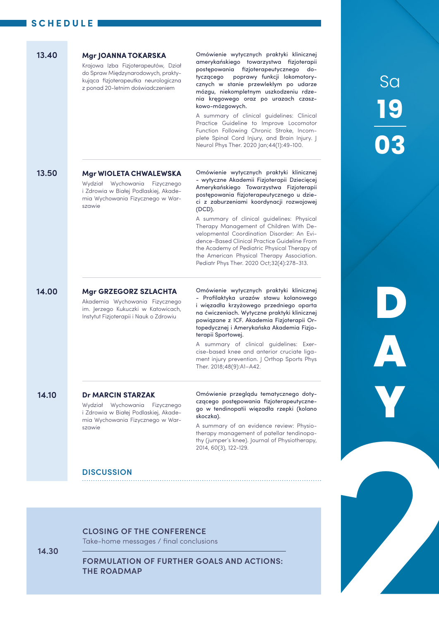|       | 13.40                                                                      | Mgr JOANNA TOKARSKA<br>Krajowa Izba Fizjoterapeutów, Dział<br>do Spraw Międzynarodowych, prakty-<br>kująca fizjoterapeutka neurologiczna<br>z ponad 20-letnim doświadczeniem | Omówienie wytycznych praktyki klinicznej<br>amerykańskiego towarzystwa fizjoterapii<br>postępowania fizjoterapeutycznego do-<br>poprawy funkcji lokomotory-<br>tyczącego<br>cznych w stanie przewlekłym po udarze<br>mózgu, niekompletnym uszkodzeniu rdze-                                                                                                                                                                                                                                                                                                                 |                         |
|-------|----------------------------------------------------------------------------|------------------------------------------------------------------------------------------------------------------------------------------------------------------------------|-----------------------------------------------------------------------------------------------------------------------------------------------------------------------------------------------------------------------------------------------------------------------------------------------------------------------------------------------------------------------------------------------------------------------------------------------------------------------------------------------------------------------------------------------------------------------------|-------------------------|
|       |                                                                            |                                                                                                                                                                              | nia kręgowego oraz po urazach czasz-<br>kowo-mózgowych.<br>A summary of clinical guidelines: Clinical<br>Practice Guideline to Improve Locomotor<br>Function Following Chronic Stroke, Incom-<br>plete Spinal Cord Injury, and Brain Injury. J<br>Neurol Phys Ther. 2020 Jan;44(1):49-100.                                                                                                                                                                                                                                                                                  | <b>Sa<br/>19<br/>03</b> |
|       | 13.50                                                                      | <b>Mgr WIOLETA CHWALEWSKA</b><br>Wydział Wychowania Fizycznego<br>i Zdrowia w Białej Podlaskiej, Akade-<br>mia Wychowania Fizycznego w War-<br>szawie                        | Omówienie wytycznych praktyki klinicznej<br>- wytyczne Akademii Fizjoterapii Dziecięcej<br>Amerykańskiego Towarzystwa Fizjoterapii<br>postępowania fizjoterapeutycznego u dzie-<br>ci z zaburzeniami koordynacji rozwojowej<br>$(DCD)$ .<br>A summary of clinical guidelines: Physical<br>Therapy Management of Children With De-<br>velopmental Coordination Disorder: An Evi-<br>dence-Based Clinical Practice Guideline From<br>the Academy of Pediatric Physical Therapy of<br>the American Physical Therapy Association.<br>Pediatr Phys Ther. 2020 Oct;32(4):278-313. |                         |
|       | 14.00                                                                      | Mgr GRZEGORZ SZLACHTA<br>Akademia Wychowania Fizycznego<br>im. Jerzego Kukuczki w Katowicach,<br>Instytut Fizjoterapii i Nauk o Zdrowiu                                      | Omówienie wytycznych praktyki klinicznej<br>- Profilaktyka urazów stawu kolanowego<br>i więzadła krzyżowego przedniego oparta<br>na ćwiczeniach. Wytyczne praktyki klinicznej<br>powiązane z ICF. Akademia Fizjoterapii Or-<br>topedycznej i Amerykańska Akademia Fizjo-<br>terapii Sportowej.<br>A summary of clinical guidelines: Exer-<br>cise-based knee and anterior cruciate liga-<br>ment injury prevention.   Orthop Sports Phys<br>Ther. 2018;48(9):A1-A42.                                                                                                        |                         |
|       | 14.10                                                                      | <b>Dr MARCIN STARZAK</b><br>Wydział Wychowania Fizycznego<br>i Zdrowia w Białej Podlaskiej, Akade-<br>mia Wychowania Fizycznego w War-<br>szawie<br><b>DISCUSSION</b>        | Omówienie przeglądu tematycznego doty-<br>czącego postępowania fizjoterapeutyczne-<br>go w tendinopatii więzadła rzepki (kolano<br>skoczka).<br>A summary of an evidence review: Physio-<br>therapy management of patellar tendinopa-<br>thy (jumper's knee). Journal of Physiotherapy,<br>2014, 60(3), 122-129.                                                                                                                                                                                                                                                            |                         |
|       |                                                                            |                                                                                                                                                                              |                                                                                                                                                                                                                                                                                                                                                                                                                                                                                                                                                                             |                         |
| 14.30 | <b>CLOSING OF THE CONFERENCE</b><br>Take-home messages / final conclusions |                                                                                                                                                                              |                                                                                                                                                                                                                                                                                                                                                                                                                                                                                                                                                                             |                         |
|       |                                                                            | <b>FORMULATION OF FURTHER GOALS AND ACTIONS:</b><br><b>THE ROADMAP</b>                                                                                                       |                                                                                                                                                                                                                                                                                                                                                                                                                                                                                                                                                                             |                         |
|       |                                                                            |                                                                                                                                                                              |                                                                                                                                                                                                                                                                                                                                                                                                                                                                                                                                                                             |                         |

## **DISCUSSION**

### **CLOSING OF THE CONFERENCE**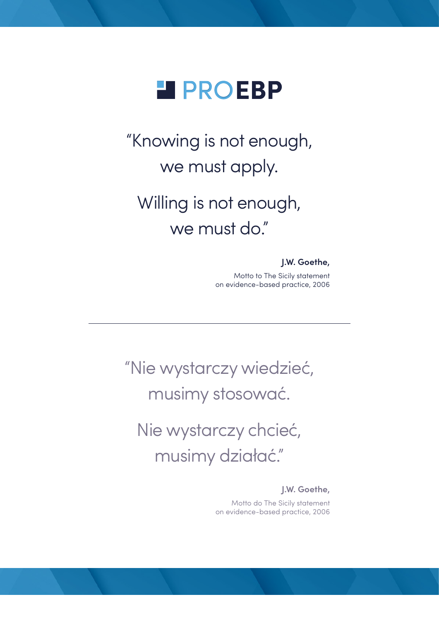

"Knowing is not enough, we must apply.

## Willing is not enough, we must do."

## **J.W. Goethe,**

Motto to The Sicily statement on evidence-based practice, 2006

"Nie wystarczy wiedzieć, musimy stosować.

Nie wystarczy chcieć, musimy działać."

**J.W. Goethe,**

Motto do The Sicily statement on evidence-based practice, 2006